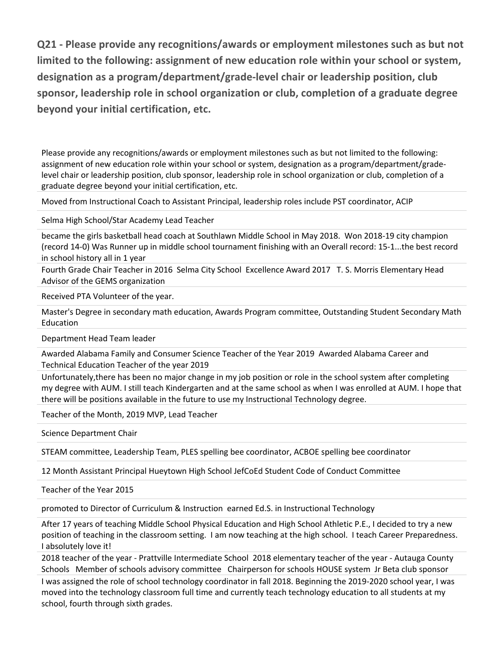**Q21 - Please provide any recognitions/awards or employment milestones such as but not limited to the following: assignment of new education role within your school or system, designation as a program/department/grade-level chair or leadership position, club sponsor, leadership role in school organization or club, completion of a graduate degree beyond your initial certification, etc.**

Please provide any recognitions/awards or employment milestones such as but not limited to the following: assignment of new education role within your school or system, designation as a program/department/gradelevel chair or leadership position, club sponsor, leadership role in school organization or club, completion of a graduate degree beyond your initial certification, etc.

Moved from Instructional Coach to Assistant Principal, leadership roles include PST coordinator, ACIP

Selma High School/Star Academy Lead Teacher

became the girls basketball head coach at Southlawn Middle School in May 2018. Won 2018-19 city champion (record 14-0) Was Runner up in middle school tournament finishing with an Overall record: 15-1...the best record in school history all in 1 year

Fourth Grade Chair Teacher in 2016 Selma City School Excellence Award 2017 T. S. Morris Elementary Head Advisor of the GEMS organization

Received PTA Volunteer of the year.

Master's Degree in secondary math education, Awards Program committee, Outstanding Student Secondary Math Education

Department Head Team leader

Awarded Alabama Family and Consumer Science Teacher of the Year 2019 Awarded Alabama Career and Technical Education Teacher of the year 2019

Unfortunately,there has been no major change in my job position or role in the school system after completing my degree with AUM. I still teach Kindergarten and at the same school as when I was enrolled at AUM. I hope that there will be positions available in the future to use my Instructional Technology degree.

Teacher of the Month, 2019 MVP, Lead Teacher

Science Department Chair

STEAM committee, Leadership Team, PLES spelling bee coordinator, ACBOE spelling bee coordinator

12 Month Assistant Principal Hueytown High School JefCoEd Student Code of Conduct Committee

Teacher of the Year 2015

promoted to Director of Curriculum & Instruction earned Ed.S. in Instructional Technology

After 17 years of teaching Middle School Physical Education and High School Athletic P.E., I decided to try a new position of teaching in the classroom setting. I am now teaching at the high school. I teach Career Preparedness. I absolutely love it!

2018 teacher of the year - Prattville Intermediate School 2018 elementary teacher of the year - Autauga County Schools Member of schools advisory committee Chairperson for schools HOUSE system Jr Beta club sponsor

I was assigned the role of school technology coordinator in fall 2018. Beginning the 2019-2020 school year, I was moved into the technology classroom full time and currently teach technology education to all students at my school, fourth through sixth grades.